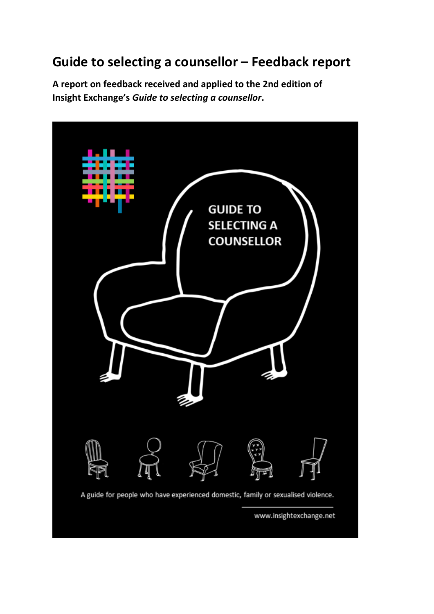# **Guide to selecting a counsellor – Feedback report**

**A report on feedback received and applied to the 2nd edition of Insight Exchange's** *Guide to selecting a counsellor***.**

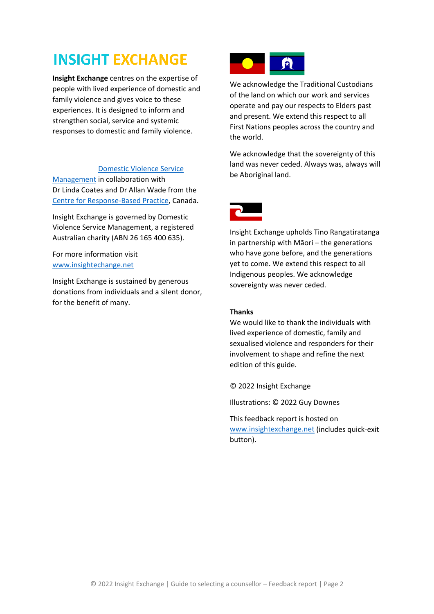# **INSIGHT EXCHANGE**

**Insight Exchange** centres on the expertise of people with lived experience of domestic and family violence and gives voice to these experiences. It is designed to inform and strengthen social, service and systemic responses to domestic and family violence.

#### [Domestic Violence Service](https://dvnswsm.org.au/)

[Management](https://dvnswsm.org.au/) in collaboration with Dr Linda Coates and Dr Allan Wade from the [Centre for Response-Based Practice,](https://www.responsebasedpractice.com/) Canada.

Insight Exchange is governed by Domestic Violence Service Management, a registered Australian charity (ABN 26 165 400 635).

For more information visit [www.insightechange.net](http://www.insightechange.net/) 

Insight Exchange is sustained by generous donations from individuals and a silent donor, for the benefit of many.



We acknowledge the Traditional Custodians of the land on which our work and services operate and pay our respects to Elders past and present. We extend this respect to all First Nations peoples across the country and the world.

We acknowledge that the sovereignty of this land was never ceded. Always was, always will be Aboriginal land.



Insight Exchange upholds Tino Rangatiratanga in partnership with Māori – the generations who have gone before, and the generations yet to come. We extend this respect to all Indigenous peoples. We acknowledge sovereignty was never ceded.

#### **Thanks**

We would like to thank the individuals with lived experience of domestic, family and sexualised violence and responders for their involvement to shape and refine the next edition of this guide.

© 2022 Insight Exchange

Illustrations: © 2022 Guy Downes

This feedback report is hosted on [www.insightexchange.net](http://www.insightexchange.net/) (includes quick-exit button).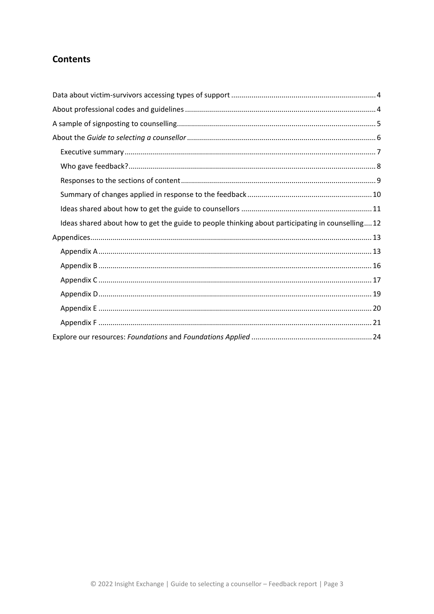# **Contents**

| Ideas shared about how to get the guide to people thinking about participating in counselling12 |
|-------------------------------------------------------------------------------------------------|
|                                                                                                 |
|                                                                                                 |
|                                                                                                 |
|                                                                                                 |
|                                                                                                 |
|                                                                                                 |
|                                                                                                 |
|                                                                                                 |
|                                                                                                 |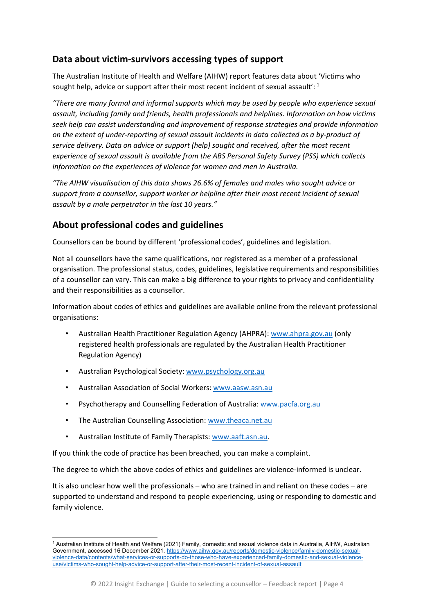# <span id="page-3-0"></span>**Data about victim-survivors accessing types of support**

The Australian Institute of Health and Welfare (AIHW) report features data about 'Victims who sought help, advice or support after their most recent incident of sexual assault':  $^1$  $^1$ 

*"There are many formal and informal supports which may be used by people who experience sexual assault, including family and friends, health professionals and helplines. Information on how victims seek help can assist understanding and improvement of response strategies and provide information on the extent of under-reporting of sexual assault incidents in data collected as a by-product of service delivery. Data on advice or support (help) sought and received, after the most recent experience of sexual assault is available from the [ABS Personal Safety Survey \(PSS\)](https://www.aihw.gov.au/reports/domestic-violence/family-domestic-sexual-violence-data/contents/technical-notes/data-sources) which collects information on the experiences of violence for women and men in Australia.*

*"The AIHW visualisation of this data shows 26.6% of females and males who sought advice or support from a counsellor, support worker or helpline after their most recent incident of sexual assault by a male perpetrator in the last 10 years."*

### <span id="page-3-1"></span>**About professional codes and guidelines**

Counsellors can be bound by different 'professional codes', guidelines and legislation.

Not all counsellors have the same qualifications, nor registered as a member of a professional organisation. The professional status, codes, guidelines, legislative requirements and responsibilities of a counsellor can vary. This can make a big difference to your rights to privacy and confidentiality and their responsibilities as a counsellor.

Information about codes of ethics and guidelines are available online from the relevant professional organisations:

- Australian Health Practitioner Regulation Agency (AHPRA): [www.ahpra.gov.au](http://www.ahpra.gov.au/) (only registered health professionals are regulated by the Australian Health Practitioner Regulation Agency)
- Australian Psychological Society: [www.psychology.org.au](http://www.psychology.org.au/)
- Australian Association of Social Workers[: www.aasw.asn.au](http://www.aasw.asn.au/)
- Psychotherapy and Counselling Federation of Australia[: www.pacfa.org.au](http://www.pacfa.org.au/)
- The Australian Counselling Association: [www.theaca.net.au](http://www.theaca.net.au/)
- Australian Institute of Family Therapists: [www.aaft.asn.au.](http://www.aaft.asn.au/)

If you think the code of practice has been breached, you can make a complaint.

The degree to which the above codes of ethics and guidelines are violence-informed is unclear.

It is also unclear how well the professionals – who are trained in and reliant on these codes – are supported to understand and respond to people experiencing, using or responding to domestic and family violence.

<span id="page-3-2"></span><sup>1</sup> Australian Institute of Health and Welfare (2021) Family, domestic and sexual violence data in Australia, AIHW, Australian Government, accessed 16 December 2021. [https://www.aihw.gov.au/reports/domestic-violence/family-domestic-sexual](https://www.aihw.gov.au/reports/domestic-violence/family-domestic-sexual-violence-data/contents/what-services-or-supports-do-those-who-have-experienced-family-domestic-and-sexual-violence-use/victims-who-sought-help-advice-or-support-after-their-most-recent-incident-of-sexual-assault)[violence-data/contents/what-services-or-supports-do-those-who-have-experienced-family-domestic-and-sexual-violence](https://www.aihw.gov.au/reports/domestic-violence/family-domestic-sexual-violence-data/contents/what-services-or-supports-do-those-who-have-experienced-family-domestic-and-sexual-violence-use/victims-who-sought-help-advice-or-support-after-their-most-recent-incident-of-sexual-assault)[use/victims-who-sought-help-advice-or-support-after-their-most-recent-incident-of-sexual-assault](https://www.aihw.gov.au/reports/domestic-violence/family-domestic-sexual-violence-data/contents/what-services-or-supports-do-those-who-have-experienced-family-domestic-and-sexual-violence-use/victims-who-sought-help-advice-or-support-after-their-most-recent-incident-of-sexual-assault)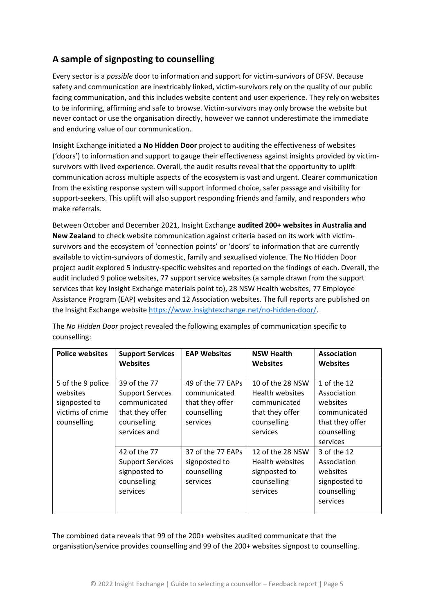# <span id="page-4-0"></span>**A sample of signposting to counselling**

Every sector is a *possible* door to information and support for victim-survivors of DFSV. Because safety and communication are inextricably linked, victim-survivors rely on the quality of our public facing communication, and this includes website content and user experience. They rely on websites to be informing, affirming and safe to browse. Victim-survivors may only browse the website but never contact or use the organisation directly, however we cannot underestimate the immediate and enduring value of our communication.

Insight Exchange initiated a **No Hidden Door** project to auditing the effectiveness of websites ('doors') to information and support to gauge their effectiveness against insights provided by victimsurvivors with lived experience. Overall, the audit results reveal that the opportunity to uplift communication across multiple aspects of the ecosystem is vast and urgent. Clearer communication from the existing response system will support informed choice, safer passage and visibility for support-seekers. This uplift will also support responding friends and family, and responders who make referrals.

Between October and December 2021, Insight Exchange **audited 200+ websites in Australia and New Zealand** to check website communication against criteria based on its work with victimsurvivors and the ecosystem of 'connection points' or 'doors' to information that are currently available to victim-survivors of domestic, family and sexualised violence. The No Hidden Door project audit explored 5 industry-specific websites and reported on the findings of each. Overall, the audit included 9 police websites, 77 support service websites (a sample drawn from the support services that key Insight Exchange materials point to), 28 NSW Health websites, 77 Employee Assistance Program (EAP) websites and 12 Association websites. The full reports are published on the Insight Exchange website [https://www.insightexchange.net/no-hidden-door/.](https://www.insightexchange.net/no-hidden-door/)

| <b>Police websites</b>                                                            | <b>Support Services</b><br><b>Websites</b>                                                               | <b>EAP Websites</b>                                                             | <b>NSW Health</b><br>Websites                                                                     | Association<br><b>Websites</b>                                                                       |
|-----------------------------------------------------------------------------------|----------------------------------------------------------------------------------------------------------|---------------------------------------------------------------------------------|---------------------------------------------------------------------------------------------------|------------------------------------------------------------------------------------------------------|
| 5 of the 9 police<br>websites<br>signposted to<br>victims of crime<br>counselling | 39 of the 77<br><b>Support Servces</b><br>communicated<br>that they offer<br>counselling<br>services and | 49 of the 77 EAPs<br>communicated<br>that they offer<br>counselling<br>services | 10 of the 28 NSW<br>Health websites<br>communicated<br>that they offer<br>counselling<br>services | 1 of the 12<br>Association<br>websites<br>communicated<br>that they offer<br>counselling<br>services |
|                                                                                   | 42 of the 77<br><b>Support Services</b><br>signposted to<br>counselling<br>services                      | 37 of the 77 EAPs<br>signposted to<br>counselling<br>services                   | 12 of the 28 NSW<br><b>Health websites</b><br>signposted to<br>counselling<br>services            | 3 of the 12<br>Association<br>websites<br>signposted to<br>counselling<br>services                   |

The *No Hidden Door* project revealed the following examples of communication specific to counselling:

The combined data reveals that 99 of the 200+ websites audited communicate that the organisation/service provides counselling and 99 of the 200+ websites signpost to counselling.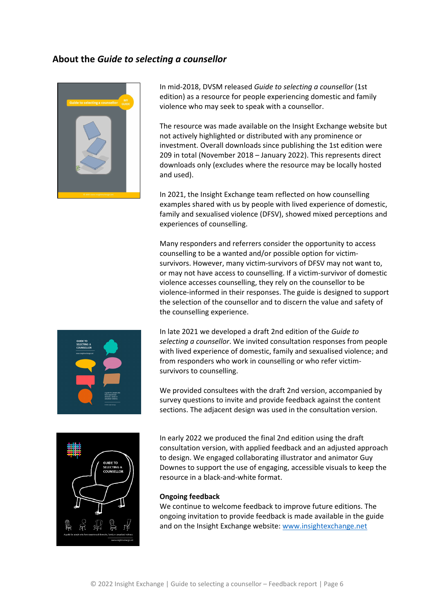### <span id="page-5-0"></span>**About the** *Guide to selecting a counsellor*



In mid-2018, DVSM released *Guide to selecting a counsellor* (1st edition) as a resource for people experiencing domestic and family violence who may seek to speak with a counsellor.

The resource was made available on the Insight Exchange website but not actively highlighted or distributed with any prominence or investment. Overall downloads since publishing the 1st edition were 209 in total (November 2018 – January 2022). This represents direct downloads only (excludes where the resource may be locally hosted and used).

In 2021, the Insight Exchange team reflected on how counselling examples shared with us by people with lived experience of domestic, family and sexualised violence (DFSV), showed mixed perceptions and experiences of counselling.

Many responders and referrers consider the opportunity to access counselling to be a wanted and/or possible option for victimsurvivors. However, many victim-survivors of DFSV may not want to, or may not have access to counselling. If a victim-survivor of domestic violence accesses counselling, they rely on the counsellor to be violence-informed in their responses. The guide is designed to support the selection of the counsellor and to discern the value and safety of the counselling experience.



In late 2021 we developed a draft 2nd edition of the *Guide to selecting a counsellor*. We invited consultation responses from people with lived experience of domestic, family and sexualised violence; and from responders who work in counselling or who refer victimsurvivors to counselling.

We provided consultees with the draft 2nd version, accompanied by survey questions to invite and provide feedback against the content sections. The adjacent design was used in the consultation version.



In early 2022 we produced the final 2nd edition using the draft consultation version, with applied feedback and an adjusted approach to design. We engaged collaborating illustrator and animator Guy Downes to support the use of engaging, accessible visuals to keep the resource in a black-and-white format.

#### **Ongoing feedback**

We continue to welcome feedback to improve future editions. The ongoing invitation to provide feedback is made available in the guide and on the Insight Exchange website[: www.insightexchange.net](http://www.insightexchange.net/)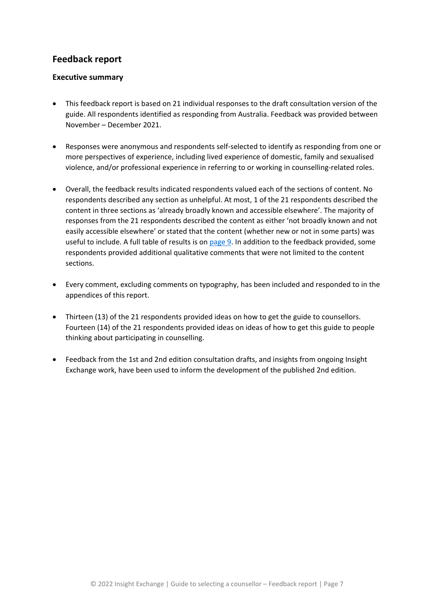## **Feedback report**

### <span id="page-6-0"></span>**Executive summary**

- This feedback report is based on 21 individual responses to the draft consultation version of the guide. All respondents identified as responding from Australia. Feedback was provided between November – December 2021.
- Responses were anonymous and respondents self-selected to identify as responding from one or more perspectives of experience, including lived experience of domestic, family and sexualised violence, and/or professional experience in referring to or working in counselling-related roles.
- Overall, the feedback results indicated respondents valued each of the sections of content. No respondents described any section as unhelpful. At most, 1 of the 21 respondents described the content in three sections as 'already broadly known and accessible elsewhere'. The majority of responses from the 21 respondents described the content as either 'not broadly known and not easily accessible elsewhere' or stated that the content (whether new or not in some parts) was useful to include. A full table of results is o[n page 9.](#page-8-0) In addition to the feedback provided, some respondents provided additional qualitative comments that were not limited to the content sections.
- Every comment, excluding comments on typography, has been included and responded to in the appendices of this report.
- Thirteen (13) of the 21 respondents provided ideas on how to get the guide to counsellors. Fourteen (14) of the 21 respondents provided ideas on ideas of how to get this guide to people thinking about participating in counselling.
- Feedback from the 1st and 2nd edition consultation drafts, and insights from ongoing Insight Exchange work, have been used to inform the development of the published 2nd edition.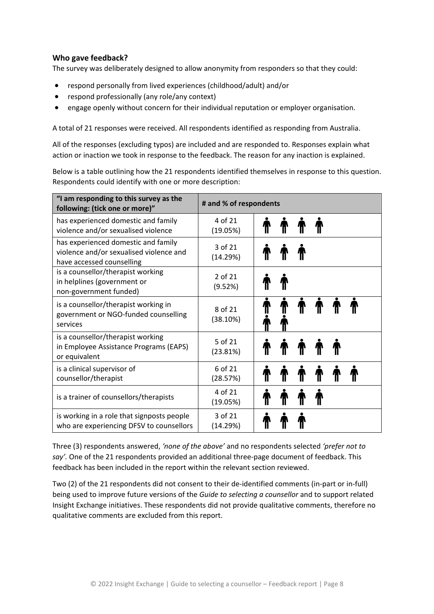### <span id="page-7-0"></span>**Who gave feedback?**

The survey was deliberately designed to allow anonymity from responders so that they could:

- respond personally from lived experiences (childhood/adult) and/or
- respond professionally (any role/any context)
- engage openly without concern for their individual reputation or employer organisation.

A total of 21 responses were received. All respondents identified as responding from Australia.

All of the responses (excluding typos) are included and are responded to. Responses explain what action or inaction we took in response to the feedback. The reason for any inaction is explained.

Below is a table outlining how the 21 respondents identified themselves in response to this question. Respondents could identify with one or more description:

| "I am responding to this survey as the<br>following: (tick one or more)"                                    | # and % of respondents  |  |   |  |  |
|-------------------------------------------------------------------------------------------------------------|-------------------------|--|---|--|--|
| has experienced domestic and family<br>violence and/or sexualised violence                                  | 4 of 21<br>(19.05%)     |  |   |  |  |
| has experienced domestic and family<br>violence and/or sexualised violence and<br>have accessed counselling | $3$ of $21$<br>(14.29%) |  |   |  |  |
| is a counsellor/therapist working<br>in helplines (government or<br>non-government funded)                  | 2 of 21<br>(9.52%)      |  |   |  |  |
| is a counsellor/therapist working in<br>government or NGO-funded counselling<br>services                    | 8 of 21<br>(38.10%)     |  | T |  |  |
| is a counsellor/therapist working<br>in Employee Assistance Programs (EAPS)<br>or equivalent                | 5 of 21<br>(23.81%)     |  |   |  |  |
| is a clinical supervisor of<br>counsellor/therapist                                                         | 6 of 21<br>(28.57%)     |  |   |  |  |
| is a trainer of counsellors/therapists                                                                      | 4 of 21<br>(19.05%)     |  |   |  |  |
| is working in a role that signposts people<br>who are experiencing DFSV to counsellors                      | 3 of 21<br>(14.29%)     |  |   |  |  |

Three (3) respondents answered, *'none of the above'* and no respondents selected *'prefer not to say'.* One of the 21 respondents provided an additional three-page document of feedback. This feedback has been included in the report within the relevant section reviewed.

Two (2) of the 21 respondents did not consent to their de-identified comments (in-part or in-full) being used to improve future versions of the *Guide to selecting a counsellor* and to support related Insight Exchange initiatives. These respondents did not provide qualitative comments, therefore no qualitative comments are excluded from this report.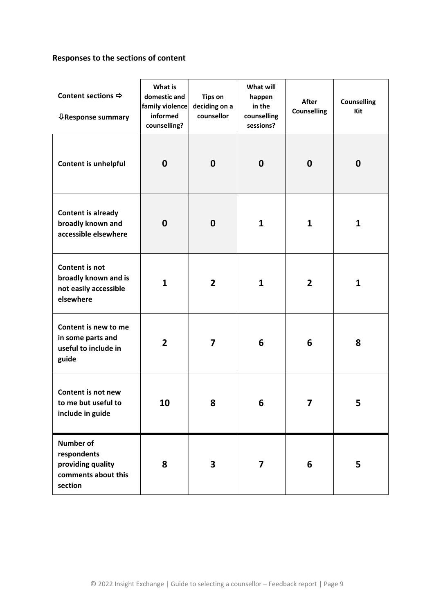# <span id="page-8-0"></span>**Responses to the sections of content**

| Content sections $\Rightarrow$<br><b>↓Response summary</b>                             | What is<br>domestic and<br>family violence<br>informed<br>counselling? | <b>Tips on</b><br>deciding on a<br>counsellor | What will<br>happen<br>in the<br>counselling<br>sessions? | <b>After</b><br><b>Counselling</b> | <b>Counselling</b><br>Kit |
|----------------------------------------------------------------------------------------|------------------------------------------------------------------------|-----------------------------------------------|-----------------------------------------------------------|------------------------------------|---------------------------|
| Content is unhelpful                                                                   | $\boldsymbol{0}$                                                       | $\boldsymbol{0}$                              | $\boldsymbol{0}$                                          | $\mathbf 0$                        | 0                         |
| <b>Content is already</b><br>broadly known and<br>accessible elsewhere                 | $\mathbf 0$                                                            | $\mathbf 0$                                   | $\mathbf{1}$                                              | $\mathbf{1}$                       | 1                         |
| Content is not<br>broadly known and is<br>not easily accessible<br>elsewhere           | $\mathbf{1}$                                                           | $\overline{2}$                                | $\mathbf{1}$                                              | $\overline{2}$                     | 1                         |
| Content is new to me<br>in some parts and<br>useful to include in<br>guide             | $\overline{2}$                                                         | $\overline{\mathbf{z}}$                       | 6                                                         | 6                                  | 8                         |
| Content is not new<br>to me but useful to<br>include in guide                          | 10                                                                     | 8                                             | 6                                                         | 7                                  | 5                         |
| <b>Number of</b><br>respondents<br>providing quality<br>comments about this<br>section | 8                                                                      | 3                                             | $\overline{\mathbf{z}}$                                   | 6                                  | 5                         |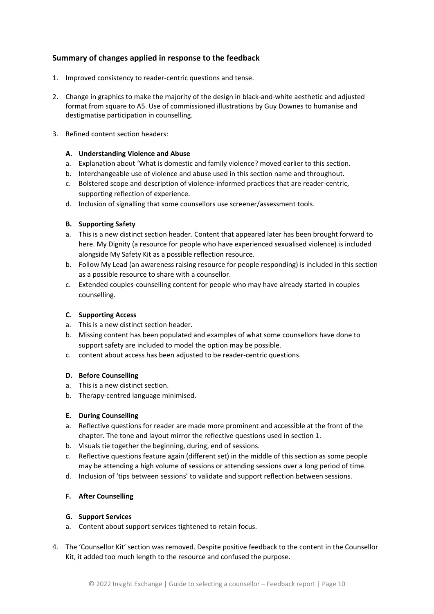### <span id="page-9-0"></span>**Summary of changes applied in response to the feedback**

- 1. Improved consistency to reader-centric questions and tense.
- 2. Change in graphics to make the majority of the design in black-and-white aesthetic and adjusted format from square to A5. Use of commissioned illustrations by Guy Downes to humanise and destigmatise participation in counselling.
- 3. Refined content section headers:

#### **A. Understanding Violence and Abuse**

- a. Explanation about 'What is domestic and family violence? moved earlier to this section.
- b. Interchangeable use of violence and abuse used in this section name and throughout.
- c. Bolstered scope and description of violence-informed practices that are reader-centric, supporting reflection of experience.
- d. Inclusion of signalling that some counsellors use screener/assessment tools.

#### **B. Supporting Safety**

- a. This is a new distinct section header. Content that appeared later has been brought forward to here. My Dignity (a resource for people who have experienced sexualised violence) is included alongside My Safety Kit as a possible reflection resource.
- b. Follow My Lead (an awareness raising resource for people responding) is included in this section as a possible resource to share with a counsellor.
- c. Extended couples-counselling content for people who may have already started in couples counselling.

#### **C. Supporting Access**

- a. This is a new distinct section header.
- b. Missing content has been populated and examples of what some counsellors have done to support safety are included to model the option may be possible.
- c. content about access has been adjusted to be reader-centric questions.

#### **D. Before Counselling**

- a. This is a new distinct section.
- b. Therapy-centred language minimised.

#### **E. During Counselling**

- a. Reflective questions for reader are made more prominent and accessible at the front of the chapter. The tone and layout mirror the reflective questions used in section 1.
- b. Visuals tie together the beginning, during, end of sessions.
- c. Reflective questions feature again (different set) in the middle of this section as some people may be attending a high volume of sessions or attending sessions over a long period of time.
- d. Inclusion of 'tips between sessions' to validate and support reflection between sessions.

#### **F. After Counselling**

#### **G. Support Services**

- a. Content about support services tightened to retain focus.
- 4. The 'Counsellor Kit' section was removed. Despite positive feedback to the content in the Counsellor Kit, it added too much length to the resource and confused the purpose.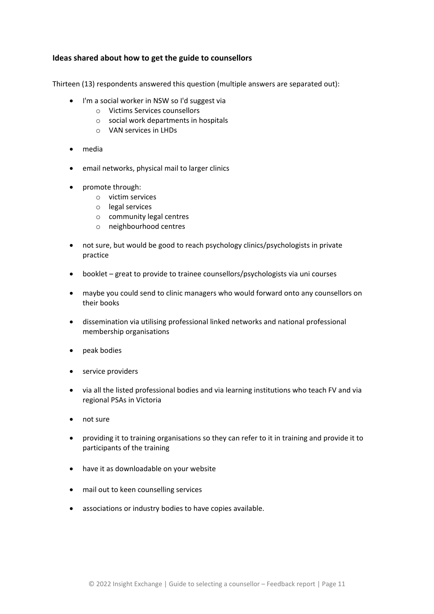### <span id="page-10-0"></span>**Ideas shared about how to get the guide to counsellors**

Thirteen (13) respondents answered this question (multiple answers are separated out):

- I'm a social worker in NSW so I'd suggest via
	- o Victims Services counsellors
	- o social work departments in hospitals
	- o VAN services in LHDs
- media
- email networks, physical mail to larger clinics
- promote through:
	- o victim services
	- o legal services
	- o community legal centres
	- o neighbourhood centres
- not sure, but would be good to reach psychology clinics/psychologists in private practice
- booklet great to provide to trainee counsellors/psychologists via uni courses
- maybe you could send to clinic managers who would forward onto any counsellors on their books
- dissemination via utilising professional linked networks and national professional membership organisations
- peak bodies
- service providers
- via all the listed professional bodies and via learning institutions who teach FV and via regional PSAs in Victoria
- not sure
- providing it to training organisations so they can refer to it in training and provide it to participants of the training
- have it as downloadable on your website
- mail out to keen counselling services
- associations or industry bodies to have copies available.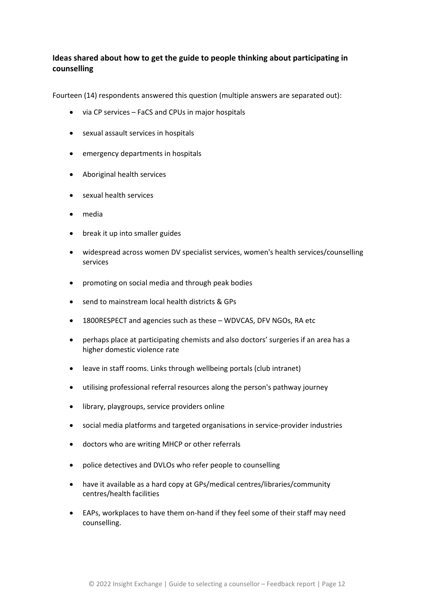### <span id="page-11-0"></span>**Ideas shared about how to get the guide to people thinking about participating in counselling**

Fourteen (14) respondents answered this question (multiple answers are separated out):

- via CP services FaCS and CPUs in major hospitals
- sexual assault services in hospitals
- emergency departments in hospitals
- Aboriginal health services
- sexual health services
- media
- break it up into smaller guides
- widespread across women DV specialist services, women's health services/counselling services
- promoting on social media and through peak bodies
- send to mainstream local health districts & GPs
- 1800RESPECT and agencies such as these WDVCAS, DFV NGOs, RA etc
- perhaps place at participating chemists and also doctors' surgeries if an area has a higher domestic violence rate
- leave in staff rooms. Links through wellbeing portals (club intranet)
- utilising professional referral resources along the person's pathway journey
- library, playgroups, service providers online
- social media platforms and targeted organisations in service-provider industries
- doctors who are writing MHCP or other referrals
- police detectives and DVLOs who refer people to counselling
- have it available as a hard copy at GPs/medical centres/libraries/community centres/health facilities
- EAPs, workplaces to have them on-hand if they feel some of their staff may need counselling.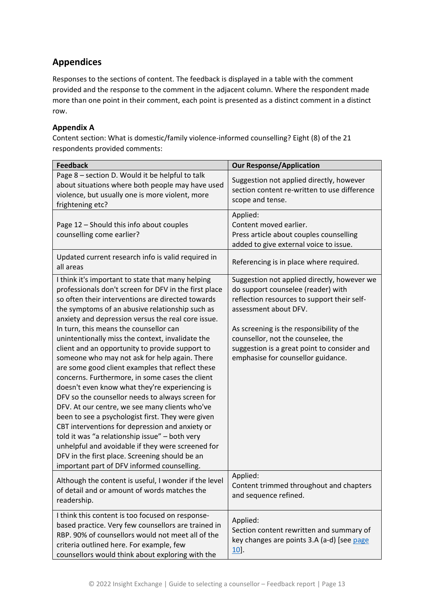# <span id="page-12-0"></span>**Appendices**

Responses to the sections of content. The feedback is displayed in a table with the comment provided and the response to the comment in the adjacent column. Where the respondent made more than one point in their comment, each point is presented as a distinct comment in a distinct row.

### <span id="page-12-1"></span>**Appendix A**

Content section: What is domestic/family violence-informed counselling? Eight (8) of the 21 respondents provided comments:

| <b>Feedback</b>                                                                                                                                                                                                                                                                                                                                                                                                                                                                                                                                                                                                                                                                                                                                                                                                                                                                                                                                                                                                                                           | <b>Our Response/Application</b>                                                                                                                                                                                                                                                                                                   |
|-----------------------------------------------------------------------------------------------------------------------------------------------------------------------------------------------------------------------------------------------------------------------------------------------------------------------------------------------------------------------------------------------------------------------------------------------------------------------------------------------------------------------------------------------------------------------------------------------------------------------------------------------------------------------------------------------------------------------------------------------------------------------------------------------------------------------------------------------------------------------------------------------------------------------------------------------------------------------------------------------------------------------------------------------------------|-----------------------------------------------------------------------------------------------------------------------------------------------------------------------------------------------------------------------------------------------------------------------------------------------------------------------------------|
| Page 8 - section D. Would it be helpful to talk<br>about situations where both people may have used<br>violence, but usually one is more violent, more<br>frightening etc?                                                                                                                                                                                                                                                                                                                                                                                                                                                                                                                                                                                                                                                                                                                                                                                                                                                                                | Suggestion not applied directly, however<br>section content re-written to use difference<br>scope and tense.                                                                                                                                                                                                                      |
| Page 12 - Should this info about couples<br>counselling come earlier?                                                                                                                                                                                                                                                                                                                                                                                                                                                                                                                                                                                                                                                                                                                                                                                                                                                                                                                                                                                     | Applied:<br>Content moved earlier.<br>Press article about couples counselling<br>added to give external voice to issue.                                                                                                                                                                                                           |
| Updated current research info is valid required in<br>all areas                                                                                                                                                                                                                                                                                                                                                                                                                                                                                                                                                                                                                                                                                                                                                                                                                                                                                                                                                                                           | Referencing is in place where required.                                                                                                                                                                                                                                                                                           |
| I think it's important to state that many helping<br>professionals don't screen for DFV in the first place<br>so often their interventions are directed towards<br>the symptoms of an abusive relationship such as<br>anxiety and depression versus the real core issue.<br>In turn, this means the counsellor can<br>unintentionally miss the context, invalidate the<br>client and an opportunity to provide support to<br>someone who may not ask for help again. There<br>are some good client examples that reflect these<br>concerns. Furthermore, in some cases the client<br>doesn't even know what they're experiencing is<br>DFV so the counsellor needs to always screen for<br>DFV. At our centre, we see many clients who've<br>been to see a psychologist first. They were given<br>CBT interventions for depression and anxiety or<br>told it was "a relationship issue" - both very<br>unhelpful and avoidable if they were screened for<br>DFV in the first place. Screening should be an<br>important part of DFV informed counselling. | Suggestion not applied directly, however we<br>do support counselee (reader) with<br>reflection resources to support their self-<br>assessment about DFV.<br>As screening is the responsibility of the<br>counsellor, not the counselee, the<br>suggestion is a great point to consider and<br>emphasise for counsellor guidance. |
| Although the content is useful, I wonder if the level<br>of detail and or amount of words matches the<br>readership.                                                                                                                                                                                                                                                                                                                                                                                                                                                                                                                                                                                                                                                                                                                                                                                                                                                                                                                                      | Applied:<br>Content trimmed throughout and chapters<br>and sequence refined.                                                                                                                                                                                                                                                      |
| I think this content is too focused on response-<br>based practice. Very few counsellors are trained in<br>RBP. 90% of counsellors would not meet all of the<br>criteria outlined here. For example, few<br>counsellors would think about exploring with the                                                                                                                                                                                                                                                                                                                                                                                                                                                                                                                                                                                                                                                                                                                                                                                              | Applied:<br>Section content rewritten and summary of<br>key changes are points 3.A (a-d) [see page<br>$10$ .                                                                                                                                                                                                                      |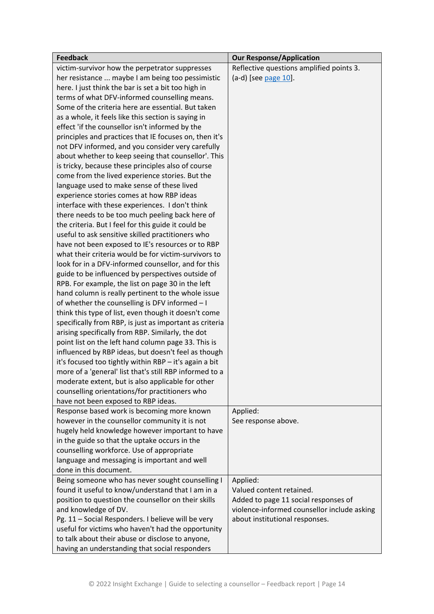| <b>Feedback</b>                                         | <b>Our Response/Application</b>             |
|---------------------------------------------------------|---------------------------------------------|
| victim-survivor how the perpetrator suppresses          | Reflective questions amplified points 3.    |
| her resistance  maybe I am being too pessimistic        | $(a-d)$ [see page 10].                      |
| here. I just think the bar is set a bit too high in     |                                             |
| terms of what DFV-informed counselling means.           |                                             |
| Some of the criteria here are essential. But taken      |                                             |
| as a whole, it feels like this section is saying in     |                                             |
| effect 'if the counsellor isn't informed by the         |                                             |
| principles and practices that IE focuses on, then it's  |                                             |
| not DFV informed, and you consider very carefully       |                                             |
| about whether to keep seeing that counsellor'. This     |                                             |
| is tricky, because these principles also of course      |                                             |
| come from the lived experience stories. But the         |                                             |
| language used to make sense of these lived              |                                             |
| experience stories comes at how RBP ideas               |                                             |
| interface with these experiences. I don't think         |                                             |
| there needs to be too much peeling back here of         |                                             |
| the criteria. But I feel for this guide it could be     |                                             |
| useful to ask sensitive skilled practitioners who       |                                             |
| have not been exposed to IE's resources or to RBP       |                                             |
| what their criteria would be for victim-survivors to    |                                             |
| look for in a DFV-informed counsellor, and for this     |                                             |
| guide to be influenced by perspectives outside of       |                                             |
| RPB. For example, the list on page 30 in the left       |                                             |
| hand column is really pertinent to the whole issue      |                                             |
| of whether the counselling is DFV informed - I          |                                             |
| think this type of list, even though it doesn't come    |                                             |
| specifically from RBP, is just as important as criteria |                                             |
| arising specifically from RBP. Similarly, the dot       |                                             |
| point list on the left hand column page 33. This is     |                                             |
| influenced by RBP ideas, but doesn't feel as though     |                                             |
| it's focused too tightly within RBP - it's again a bit  |                                             |
| more of a 'general' list that's still RBP informed to a |                                             |
| moderate extent, but is also applicable for other       |                                             |
| counselling orientations/for practitioners who          |                                             |
| have not been exposed to RBP ideas.                     |                                             |
| Response based work is becoming more known              | Applied:                                    |
| however in the counsellor community it is not           | See response above.                         |
| hugely held knowledge however important to have         |                                             |
| in the guide so that the uptake occurs in the           |                                             |
| counselling workforce. Use of appropriate               |                                             |
| language and messaging is important and well            |                                             |
| done in this document.                                  |                                             |
| Being someone who has never sought counselling I        | Applied:                                    |
| found it useful to know/understand that I am in a       | Valued content retained.                    |
| position to question the counsellor on their skills     | Added to page 11 social responses of        |
| and knowledge of DV.                                    | violence-informed counsellor include asking |
| Pg. 11 - Social Responders. I believe will be very      | about institutional responses.              |
| useful for victims who haven't had the opportunity      |                                             |
| to talk about their abuse or disclose to anyone,        |                                             |
| having an understanding that social responders          |                                             |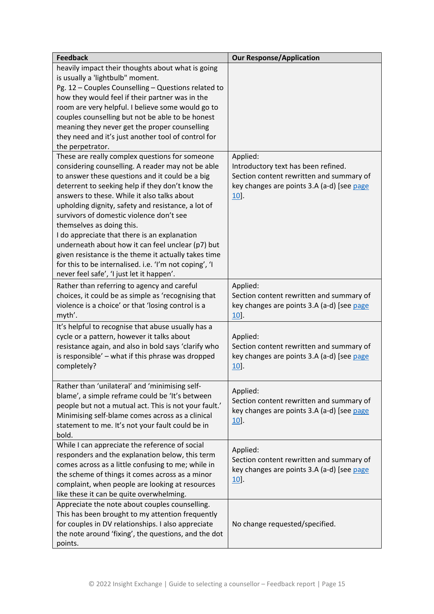| <b>Feedback</b>                                                                                                                                                                                                                                                                                                                                                                                                                                                                                                                                                                                                                                              | <b>Our Response/Application</b>                                                                                                                     |
|--------------------------------------------------------------------------------------------------------------------------------------------------------------------------------------------------------------------------------------------------------------------------------------------------------------------------------------------------------------------------------------------------------------------------------------------------------------------------------------------------------------------------------------------------------------------------------------------------------------------------------------------------------------|-----------------------------------------------------------------------------------------------------------------------------------------------------|
| heavily impact their thoughts about what is going<br>is usually a 'lightbulb" moment.<br>Pg. 12 - Couples Counselling - Questions related to<br>how they would feel if their partner was in the<br>room are very helpful. I believe some would go to<br>couples counselling but not be able to be honest<br>meaning they never get the proper counselling<br>they need and it's just another tool of control for<br>the perpetrator.                                                                                                                                                                                                                         |                                                                                                                                                     |
| These are really complex questions for someone<br>considering counselling. A reader may not be able<br>to answer these questions and it could be a big<br>deterrent to seeking help if they don't know the<br>answers to these. While it also talks about<br>upholding dignity, safety and resistance, a lot of<br>survivors of domestic violence don't see<br>themselves as doing this.<br>I do appreciate that there is an explanation<br>underneath about how it can feel unclear (p7) but<br>given resistance is the theme it actually takes time<br>for this to be internalised. i.e. 'I'm not coping', 'I<br>never feel safe', 'I just let it happen'. | Applied:<br>Introductory text has been refined.<br>Section content rewritten and summary of<br>key changes are points 3.A (a-d) [see page<br>$10$ . |
| Rather than referring to agency and careful<br>choices, it could be as simple as 'recognising that<br>violence is a choice' or that 'losing control is a<br>myth'.                                                                                                                                                                                                                                                                                                                                                                                                                                                                                           | Applied:<br>Section content rewritten and summary of<br>key changes are points 3.A (a-d) [see page<br>$10$ .                                        |
| It's helpful to recognise that abuse usually has a<br>cycle or a pattern, however it talks about<br>resistance again, and also in bold says 'clarify who<br>is responsible' - what if this phrase was dropped<br>completely?                                                                                                                                                                                                                                                                                                                                                                                                                                 | Applied:<br>Section content rewritten and summary of<br>key changes are points 3.A (a-d) [see page<br>10                                            |
| Rather than 'unilateral' and 'minimising self-<br>blame', a simple reframe could be 'It's between<br>people but not a mutual act. This is not your fault.'<br>Minimising self-blame comes across as a clinical<br>statement to me. It's not your fault could be in<br>bold.                                                                                                                                                                                                                                                                                                                                                                                  | Applied:<br>Section content rewritten and summary of<br>key changes are points 3.A (a-d) [see page<br>$10$ .                                        |
| While I can appreciate the reference of social<br>responders and the explanation below, this term<br>comes across as a little confusing to me; while in<br>the scheme of things it comes across as a minor<br>complaint, when people are looking at resources<br>like these it can be quite overwhelming.                                                                                                                                                                                                                                                                                                                                                    | Applied:<br>Section content rewritten and summary of<br>key changes are points 3.A (a-d) [see page<br>$10$ .                                        |
| Appreciate the note about couples counselling.<br>This has been brought to my attention frequently<br>for couples in DV relationships. I also appreciate<br>the note around 'fixing', the questions, and the dot<br>points.                                                                                                                                                                                                                                                                                                                                                                                                                                  | No change requested/specified.                                                                                                                      |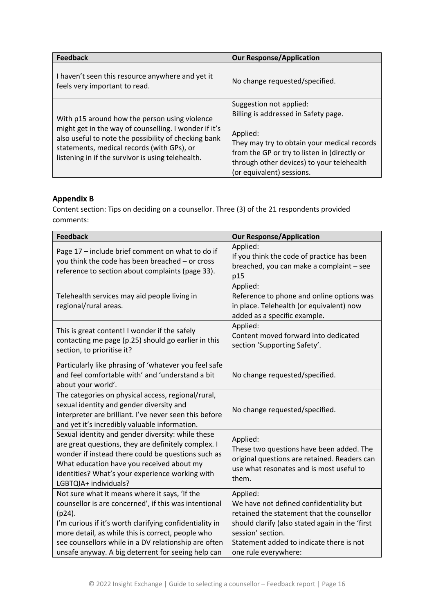| <b>Feedback</b>                                                                                                                                                                                                                                                   | <b>Our Response/Application</b>                                                                                                                                                                                                                      |
|-------------------------------------------------------------------------------------------------------------------------------------------------------------------------------------------------------------------------------------------------------------------|------------------------------------------------------------------------------------------------------------------------------------------------------------------------------------------------------------------------------------------------------|
| I haven't seen this resource anywhere and yet it<br>feels very important to read.                                                                                                                                                                                 | No change requested/specified.                                                                                                                                                                                                                       |
| With p15 around how the person using violence<br>might get in the way of counselling. I wonder if it's<br>also useful to note the possibility of checking bank<br>statements, medical records (with GPs), or<br>listening in if the survivor is using telehealth. | Suggestion not applied:<br>Billing is addressed in Safety page.<br>Applied:<br>They may try to obtain your medical records<br>from the GP or try to listen in (directly or<br>through other devices) to your telehealth<br>(or equivalent) sessions. |

### <span id="page-15-0"></span>**Appendix B**

Content section: Tips on deciding on a counsellor. Three (3) of the 21 respondents provided comments:

| <b>Feedback</b>                                                                                                                                                                                                                                                                                                                                   | <b>Our Response/Application</b>                                                                                                                                                                                                               |
|---------------------------------------------------------------------------------------------------------------------------------------------------------------------------------------------------------------------------------------------------------------------------------------------------------------------------------------------------|-----------------------------------------------------------------------------------------------------------------------------------------------------------------------------------------------------------------------------------------------|
| Page 17 - include brief comment on what to do if<br>you think the code has been breached - or cross<br>reference to section about complaints (page 33).                                                                                                                                                                                           | Applied:<br>If you think the code of practice has been<br>breached, you can make a complaint - see<br>p15                                                                                                                                     |
| Telehealth services may aid people living in<br>regional/rural areas.                                                                                                                                                                                                                                                                             | Applied:<br>Reference to phone and online options was<br>in place. Telehealth (or equivalent) now<br>added as a specific example.                                                                                                             |
| This is great content! I wonder if the safely<br>contacting me page (p.25) should go earlier in this<br>section, to prioritise it?                                                                                                                                                                                                                | Applied:<br>Content moved forward into dedicated<br>section 'Supporting Safety'.                                                                                                                                                              |
| Particularly like phrasing of 'whatever you feel safe<br>and feel comfortable with' and 'understand a bit<br>about your world'.                                                                                                                                                                                                                   | No change requested/specified.                                                                                                                                                                                                                |
| The categories on physical access, regional/rural,<br>sexual identity and gender diversity and<br>interpreter are brilliant. I've never seen this before<br>and yet it's incredibly valuable information.                                                                                                                                         | No change requested/specified.                                                                                                                                                                                                                |
| Sexual identity and gender diversity: while these<br>are great questions, they are definitely complex. I<br>wonder if instead there could be questions such as<br>What education have you received about my<br>identities? What's your experience working with<br>LGBTQIA+ individuals?                                                           | Applied:<br>These two questions have been added. The<br>original questions are retained. Readers can<br>use what resonates and is most useful to<br>them.                                                                                     |
| Not sure what it means where it says, 'If the<br>counsellor is are concerned', if this was intentional<br>$(p24)$ .<br>I'm curious if it's worth clarifying confidentiality in<br>more detail, as while this is correct, people who<br>see counsellors while in a DV relationship are often<br>unsafe anyway. A big deterrent for seeing help can | Applied:<br>We have not defined confidentiality but<br>retained the statement that the counsellor<br>should clarify (also stated again in the 'first<br>session' section.<br>Statement added to indicate there is not<br>one rule everywhere: |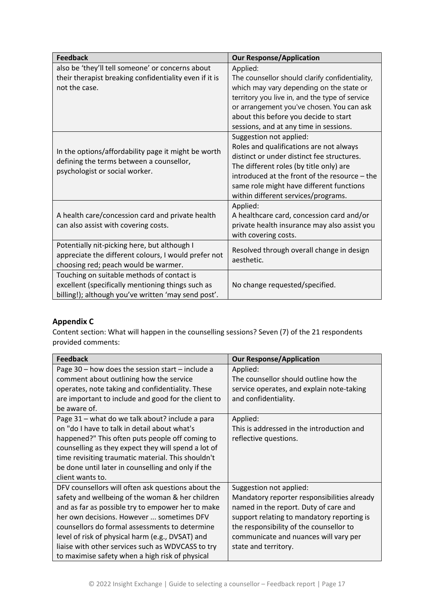| <b>Feedback</b>                                                                                                                                        | <b>Our Response/Application</b>                                                                                                                                                                                                                                                                 |
|--------------------------------------------------------------------------------------------------------------------------------------------------------|-------------------------------------------------------------------------------------------------------------------------------------------------------------------------------------------------------------------------------------------------------------------------------------------------|
| also be 'they'll tell someone' or concerns about<br>their therapist breaking confidentiality even if it is<br>not the case.                            | Applied:<br>The counsellor should clarify confidentiality,<br>which may vary depending on the state or<br>territory you live in, and the type of service<br>or arrangement you've chosen. You can ask<br>about this before you decide to start<br>sessions, and at any time in sessions.        |
| In the options/affordability page it might be worth<br>defining the terms between a counsellor,<br>psychologist or social worker.                      | Suggestion not applied:<br>Roles and qualifications are not always<br>distinct or under distinct fee structures.<br>The different roles (by title only) are<br>introduced at the front of the resource - the<br>same role might have different functions<br>within different services/programs. |
| A health care/concession card and private health<br>can also assist with covering costs.                                                               | Applied:<br>A healthcare card, concession card and/or<br>private health insurance may also assist you<br>with covering costs.                                                                                                                                                                   |
| Potentially nit-picking here, but although I<br>appreciate the different colours, I would prefer not<br>choosing red; peach would be warmer.           | Resolved through overall change in design<br>aesthetic.                                                                                                                                                                                                                                         |
| Touching on suitable methods of contact is<br>excellent (specifically mentioning things such as<br>billing!); although you've written 'may send post'. | No change requested/specified.                                                                                                                                                                                                                                                                  |

### <span id="page-16-0"></span>**Appendix C**

Content section: What will happen in the counselling sessions? Seven (7) of the 21 respondents provided comments:

| <b>Feedback</b>                                      | <b>Our Response/Application</b>             |
|------------------------------------------------------|---------------------------------------------|
| Page $30 -$ how does the session start $-$ include a | Applied:                                    |
| comment about outlining how the service              | The counsellor should outline how the       |
| operates, note taking and confidentiality. These     | service operates, and explain note-taking   |
| are important to include and good for the client to  | and confidentiality.                        |
| be aware of.                                         |                                             |
| Page 31 - what do we talk about? include a para      | Applied:                                    |
| on "do I have to talk in detail about what's         | This is addressed in the introduction and   |
| happened?" This often puts people off coming to      | reflective questions.                       |
| counselling as they expect they will spend a lot of  |                                             |
| time revisiting traumatic material. This shouldn't   |                                             |
| be done until later in counselling and only if the   |                                             |
| client wants to.                                     |                                             |
| DFV counsellors will often ask questions about the   | Suggestion not applied:                     |
| safety and wellbeing of the woman & her children     | Mandatory reporter responsibilities already |
| and as far as possible try to empower her to make    | named in the report. Duty of care and       |
| her own decisions. However  sometimes DFV            | support relating to mandatory reporting is  |
| counsellors do formal assessments to determine       | the responsibility of the counsellor to     |
| level of risk of physical harm (e.g., DVSAT) and     | communicate and nuances will vary per       |
| liaise with other services such as WDVCASS to try    | state and territory.                        |
| to maximise safety when a high risk of physical      |                                             |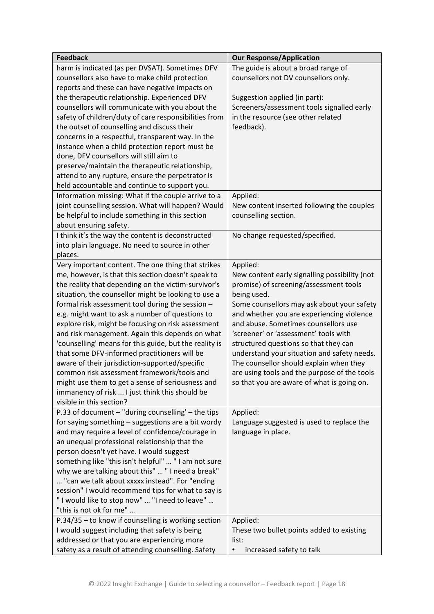| <b>Feedback</b>                                        | <b>Our Response/Application</b>                                                      |
|--------------------------------------------------------|--------------------------------------------------------------------------------------|
| harm is indicated (as per DVSAT). Sometimes DFV        | The guide is about a broad range of                                                  |
| counsellors also have to make child protection         | counsellors not DV counsellors only.                                                 |
| reports and these can have negative impacts on         |                                                                                      |
| the therapeutic relationship. Experienced DFV          | Suggestion applied (in part):                                                        |
| counsellors will communicate with you about the        | Screeners/assessment tools signalled early                                           |
| safety of children/duty of care responsibilities from  | in the resource (see other related                                                   |
| the outset of counselling and discuss their            | feedback).                                                                           |
| concerns in a respectful, transparent way. In the      |                                                                                      |
| instance when a child protection report must be        |                                                                                      |
| done, DFV counsellors will still aim to                |                                                                                      |
| preserve/maintain the therapeutic relationship,        |                                                                                      |
| attend to any rupture, ensure the perpetrator is       |                                                                                      |
| held accountable and continue to support you.          |                                                                                      |
| Information missing: What if the couple arrive to a    | Applied:                                                                             |
| joint counselling session. What will happen? Would     | New content inserted following the couples                                           |
| be helpful to include something in this section        | counselling section.                                                                 |
| about ensuring safety.                                 |                                                                                      |
| I think it's the way the content is deconstructed      | No change requested/specified.                                                       |
| into plain language. No need to source in other        |                                                                                      |
| places.                                                |                                                                                      |
| Very important content. The one thing that strikes     | Applied:                                                                             |
| me, however, is that this section doesn't speak to     | New content early signalling possibility (not                                        |
| the reality that depending on the victim-survivor's    | promise) of screening/assessment tools                                               |
|                                                        |                                                                                      |
| situation, the counsellor might be looking to use a    | being used.<br>Some counsellors may ask about your safety                            |
| formal risk assessment tool during the session -       | and whether you are experiencing violence                                            |
| e.g. might want to ask a number of questions to        | and abuse. Sometimes counsellors use                                                 |
| explore risk, might be focusing on risk assessment     |                                                                                      |
| and risk management. Again this depends on what        | 'screener' or 'assessment' tools with                                                |
| 'counselling' means for this guide, but the reality is | structured questions so that they can<br>understand your situation and safety needs. |
| that some DFV-informed practitioners will be           |                                                                                      |
| aware of their jurisdiction-supported/specific         | The counsellor should explain when they                                              |
| common risk assessment framework/tools and             | are using tools and the purpose of the tools                                         |
| might use them to get a sense of seriousness and       | so that you are aware of what is going on.                                           |
| immanency of risk  I just think this should be         |                                                                                      |
| visible in this section?                               |                                                                                      |
| P.33 of document - "during counselling' - the tips     | Applied:                                                                             |
| for saying something - suggestions are a bit wordy     | Language suggested is used to replace the                                            |
| and may require a level of confidence/courage in       | language in place.                                                                   |
| an unequal professional relationship that the          |                                                                                      |
| person doesn't yet have. I would suggest               |                                                                                      |
| something like "this isn't helpful"  " I am not sure   |                                                                                      |
| why we are talking about this"  " I need a break"      |                                                                                      |
| "can we talk about xxxxx instead". For "ending         |                                                                                      |
| session" I would recommend tips for what to say is     |                                                                                      |
| "I would like to stop now"  "I need to leave"          |                                                                                      |
| "this is not ok for me"                                |                                                                                      |
| P.34/35 - to know if counselling is working section    | Applied:                                                                             |
| I would suggest including that safety is being         | These two bullet points added to existing                                            |
| addressed or that you are experiencing more            | list:                                                                                |
| safety as a result of attending counselling. Safety    | increased safety to talk<br>$\bullet$                                                |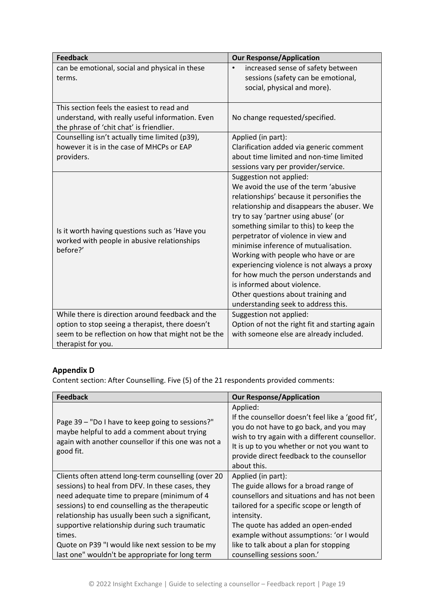| <b>Feedback</b>                                                                                                                                                                  | <b>Our Response/Application</b>                                                                                                                                                                                                                                                                                                                                                                                                                                                                                                                                           |
|----------------------------------------------------------------------------------------------------------------------------------------------------------------------------------|---------------------------------------------------------------------------------------------------------------------------------------------------------------------------------------------------------------------------------------------------------------------------------------------------------------------------------------------------------------------------------------------------------------------------------------------------------------------------------------------------------------------------------------------------------------------------|
| can be emotional, social and physical in these<br>terms.                                                                                                                         | increased sense of safety between<br>$\bullet$<br>sessions (safety can be emotional,<br>social, physical and more).                                                                                                                                                                                                                                                                                                                                                                                                                                                       |
| This section feels the easiest to read and<br>understand, with really useful information. Even<br>the phrase of 'chit chat' is friendlier.                                       | No change requested/specified.                                                                                                                                                                                                                                                                                                                                                                                                                                                                                                                                            |
| Counselling isn't actually time limited (p39),<br>however it is in the case of MHCPs or EAP<br>providers.                                                                        | Applied (in part):<br>Clarification added via generic comment<br>about time limited and non-time limited                                                                                                                                                                                                                                                                                                                                                                                                                                                                  |
|                                                                                                                                                                                  | sessions vary per provider/service.                                                                                                                                                                                                                                                                                                                                                                                                                                                                                                                                       |
| Is it worth having questions such as 'Have you<br>worked with people in abusive relationships<br>before?'                                                                        | Suggestion not applied:<br>We avoid the use of the term 'abusive<br>relationships' because it personifies the<br>relationship and disappears the abuser. We<br>try to say 'partner using abuse' (or<br>something similar to this) to keep the<br>perpetrator of violence in view and<br>minimise inference of mutualisation.<br>Working with people who have or are<br>experiencing violence is not always a proxy<br>for how much the person understands and<br>is informed about violence.<br>Other questions about training and<br>understanding seek to address this. |
| While there is direction around feedback and the<br>option to stop seeing a therapist, there doesn't<br>seem to be reflection on how that might not be the<br>therapist for you. | Suggestion not applied:<br>Option of not the right fit and starting again<br>with someone else are already included.                                                                                                                                                                                                                                                                                                                                                                                                                                                      |

### <span id="page-18-0"></span>**Appendix D**

Content section: After Counselling. Five (5) of the 21 respondents provided comments:

| <b>Feedback</b>                                                                                                                                                     | <b>Our Response/Application</b>                                                                                                                                                                                                                                      |
|---------------------------------------------------------------------------------------------------------------------------------------------------------------------|----------------------------------------------------------------------------------------------------------------------------------------------------------------------------------------------------------------------------------------------------------------------|
| Page 39 - "Do I have to keep going to sessions?"<br>maybe helpful to add a comment about trying<br>again with another counsellor if this one was not a<br>good fit. | Applied:<br>If the counsellor doesn't feel like a 'good fit',<br>you do not have to go back, and you may<br>wish to try again with a different counsellor.<br>It is up to you whether or not you want to<br>provide direct feedback to the counsellor<br>about this. |
| Clients often attend long-term counselling (over 20                                                                                                                 | Applied (in part):                                                                                                                                                                                                                                                   |
| sessions) to heal from DFV. In these cases, they                                                                                                                    | The guide allows for a broad range of                                                                                                                                                                                                                                |
| need adequate time to prepare (minimum of 4                                                                                                                         | counsellors and situations and has not been                                                                                                                                                                                                                          |
| sessions) to end counselling as the therapeutic                                                                                                                     | tailored for a specific scope or length of                                                                                                                                                                                                                           |
| relationship has usually been such a significant,                                                                                                                   | intensity.                                                                                                                                                                                                                                                           |
| supportive relationship during such traumatic                                                                                                                       | The quote has added an open-ended                                                                                                                                                                                                                                    |
| times.                                                                                                                                                              | example without assumptions: 'or I would                                                                                                                                                                                                                             |
| Quote on P39 "I would like next session to be my                                                                                                                    | like to talk about a plan for stopping                                                                                                                                                                                                                               |
| last one" wouldn't be appropriate for long term                                                                                                                     | counselling sessions soon.'                                                                                                                                                                                                                                          |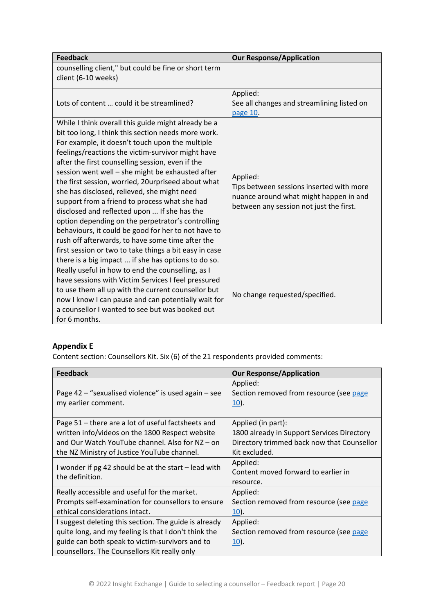| <b>Feedback</b>                                                                                                                                                                                                                                                                                                                                                                                                                                                                                                                                                                                                                                                                                                                                                                                                   | <b>Our Response/Application</b>                                                                                                           |
|-------------------------------------------------------------------------------------------------------------------------------------------------------------------------------------------------------------------------------------------------------------------------------------------------------------------------------------------------------------------------------------------------------------------------------------------------------------------------------------------------------------------------------------------------------------------------------------------------------------------------------------------------------------------------------------------------------------------------------------------------------------------------------------------------------------------|-------------------------------------------------------------------------------------------------------------------------------------------|
| counselling client," but could be fine or short term<br>client (6-10 weeks)                                                                                                                                                                                                                                                                                                                                                                                                                                                                                                                                                                                                                                                                                                                                       |                                                                                                                                           |
| Lots of content  could it be streamlined?                                                                                                                                                                                                                                                                                                                                                                                                                                                                                                                                                                                                                                                                                                                                                                         | Applied:<br>See all changes and streamlining listed on<br>page 10.                                                                        |
| While I think overall this guide might already be a<br>bit too long, I think this section needs more work.<br>For example, it doesn't touch upon the multiple<br>feelings/reactions the victim-survivor might have<br>after the first counselling session, even if the<br>session went well - she might be exhausted after<br>the first session, worried, 20urpriseed about what<br>she has disclosed, relieved, she might need<br>support from a friend to process what she had<br>disclosed and reflected upon  If she has the<br>option depending on the perpetrator's controlling<br>behaviours, it could be good for her to not have to<br>rush off afterwards, to have some time after the<br>first session or two to take things a bit easy in case<br>there is a big impact  if she has options to do so. | Applied:<br>Tips between sessions inserted with more<br>nuance around what might happen in and<br>between any session not just the first. |
| Really useful in how to end the counselling, as I<br>have sessions with Victim Services I feel pressured<br>to use them all up with the current counsellor but<br>now I know I can pause and can potentially wait for<br>a counsellor I wanted to see but was booked out<br>for 6 months.                                                                                                                                                                                                                                                                                                                                                                                                                                                                                                                         | No change requested/specified.                                                                                                            |

## <span id="page-19-0"></span>**Appendix E**

Content section: Counsellors Kit. Six (6) of the 21 respondents provided comments:

| <b>Feedback</b>                                                         | <b>Our Response/Application</b>            |
|-------------------------------------------------------------------------|--------------------------------------------|
|                                                                         | Applied:                                   |
| Page 42 - "sexualised violence" is used again - see                     | Section removed from resource (see page    |
| my earlier comment.                                                     | <u>10</u> ).                               |
|                                                                         |                                            |
| Page 51 - there are a lot of useful factsheets and                      | Applied (in part):                         |
| written info/videos on the 1800 Respect website                         | 1800 already in Support Services Directory |
| and Our Watch YouTube channel. Also for NZ - on                         | Directory trimmed back now that Counsellor |
| the NZ Ministry of Justice YouTube channel.                             | Kit excluded.                              |
| I wonder if pg 42 should be at the start – lead with<br>the definition. | Applied:                                   |
|                                                                         | Content moved forward to earlier in        |
|                                                                         | resource.                                  |
| Really accessible and useful for the market.                            | Applied:                                   |
| Prompts self-examination for counsellors to ensure                      | Section removed from resource (see page    |
| ethical considerations intact.                                          | $10$ .                                     |
| I suggest deleting this section. The guide is already                   | Applied:                                   |
| quite long, and my feeling is that I don't think the                    | Section removed from resource (see page    |
| guide can both speak to victim-survivors and to                         | $10$ ).                                    |
| counsellors. The Counsellors Kit really only                            |                                            |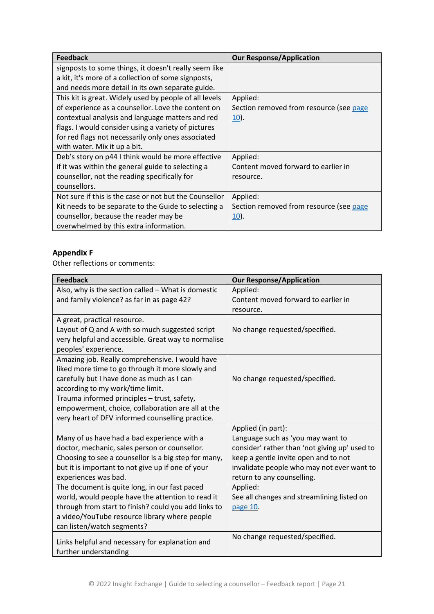| <b>Feedback</b>                                        | <b>Our Response/Application</b>         |
|--------------------------------------------------------|-----------------------------------------|
| signposts to some things, it doesn't really seem like  |                                         |
| a kit, it's more of a collection of some signposts,    |                                         |
| and needs more detail in its own separate guide.       |                                         |
| This kit is great. Widely used by people of all levels | Applied:                                |
| of experience as a counsellor. Love the content on     | Section removed from resource (see page |
| contextual analysis and language matters and red       | $10$ .                                  |
| flags. I would consider using a variety of pictures    |                                         |
| for red flags not necessarily only ones associated     |                                         |
| with water. Mix it up a bit.                           |                                         |
| Deb's story on p44 I think would be more effective     | Applied:                                |
| if it was within the general guide to selecting a      | Content moved forward to earlier in     |
| counsellor, not the reading specifically for           | resource.                               |
| counsellors.                                           |                                         |
| Not sure if this is the case or not but the Counsellor | Applied:                                |
| Kit needs to be separate to the Guide to selecting a   | Section removed from resource (see page |
| counsellor, because the reader may be                  | $10$ .                                  |
| overwhelmed by this extra information.                 |                                         |

# <span id="page-20-0"></span>**Appendix F**

Other reflections or comments:

| <b>Feedback</b>                                      | <b>Our Response/Application</b>               |
|------------------------------------------------------|-----------------------------------------------|
| Also, why is the section called - What is domestic   | Applied:                                      |
| and family violence? as far in as page 42?           | Content moved forward to earlier in           |
|                                                      | resource.                                     |
| A great, practical resource.                         |                                               |
| Layout of Q and A with so much suggested script      | No change requested/specified.                |
| very helpful and accessible. Great way to normalise  |                                               |
| peoples' experience.                                 |                                               |
| Amazing job. Really comprehensive. I would have      |                                               |
| liked more time to go through it more slowly and     |                                               |
| carefully but I have done as much as I can           | No change requested/specified.                |
| according to my work/time limit.                     |                                               |
| Trauma informed principles - trust, safety,          |                                               |
| empowerment, choice, collaboration are all at the    |                                               |
| very heart of DFV informed counselling practice.     |                                               |
|                                                      | Applied (in part):                            |
| Many of us have had a bad experience with a          | Language such as 'you may want to             |
| doctor, mechanic, sales person or counsellor.        | consider' rather than 'not giving up' used to |
| Choosing to see a counsellor is a big step for many, | keep a gentle invite open and to not          |
| but it is important to not give up if one of your    | invalidate people who may not ever want to    |
| experiences was bad.                                 | return to any counselling.                    |
| The document is quite long, in our fast paced        | Applied:                                      |
| world, would people have the attention to read it    | See all changes and streamlining listed on    |
| through from start to finish? could you add links to | page 10.                                      |
| a video/YouTube resource library where people        |                                               |
| can listen/watch segments?                           |                                               |
| Links helpful and necessary for explanation and      | No change requested/specified.                |
| further understanding                                |                                               |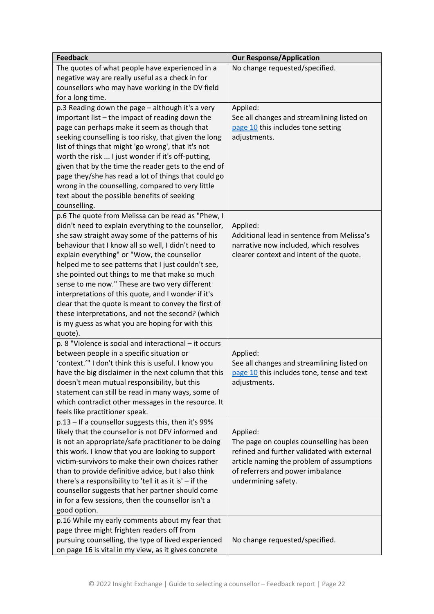| <b>Feedback</b>                                                                                       | <b>Our Response/Application</b>             |
|-------------------------------------------------------------------------------------------------------|---------------------------------------------|
| The quotes of what people have experienced in a                                                       | No change requested/specified.              |
| negative way are really useful as a check in for                                                      |                                             |
| counsellors who may have working in the DV field                                                      |                                             |
| for a long time.                                                                                      |                                             |
| p.3 Reading down the page - although it's a very                                                      | Applied:                                    |
| important list - the impact of reading down the                                                       | See all changes and streamlining listed on  |
| page can perhaps make it seem as though that                                                          | page 10 this includes tone setting          |
| seeking counselling is too risky, that given the long                                                 | adjustments.                                |
| list of things that might 'go wrong', that it's not                                                   |                                             |
| worth the risk  I just wonder if it's off-putting,                                                    |                                             |
| given that by the time the reader gets to the end of                                                  |                                             |
| page they/she has read a lot of things that could go                                                  |                                             |
| wrong in the counselling, compared to very little                                                     |                                             |
| text about the possible benefits of seeking                                                           |                                             |
| counselling.                                                                                          |                                             |
| p.6 The quote from Melissa can be read as "Phew, I                                                    |                                             |
| didn't need to explain everything to the counsellor,                                                  | Applied:                                    |
| she saw straight away some of the patterns of his                                                     | Additional lead in sentence from Melissa's  |
| behaviour that I know all so well, I didn't need to                                                   | narrative now included, which resolves      |
| explain everything" or "Wow, the counsellor                                                           | clearer context and intent of the quote.    |
| helped me to see patterns that I just couldn't see,                                                   |                                             |
| she pointed out things to me that make so much                                                        |                                             |
| sense to me now." These are two very different<br>interpretations of this quote, and I wonder if it's |                                             |
| clear that the quote is meant to convey the first of                                                  |                                             |
| these interpretations, and not the second? (which                                                     |                                             |
| is my guess as what you are hoping for with this                                                      |                                             |
| quote).                                                                                               |                                             |
| p. 8 "Violence is social and interactional - it occurs                                                |                                             |
| between people in a specific situation or                                                             | Applied:                                    |
| 'context.'" I don't think this is useful. I know you                                                  | See all changes and streamlining listed on  |
| have the big disclaimer in the next column that this                                                  | page 10 this includes tone, tense and text  |
| doesn't mean mutual responsibility, but this                                                          | adjustments.                                |
| statement can still be read in many ways, some of                                                     |                                             |
| which contradict other messages in the resource. It                                                   |                                             |
| feels like practitioner speak.                                                                        |                                             |
| p.13 - If a counsellor suggests this, then it's 99%                                                   |                                             |
| likely that the counsellor is not DFV informed and                                                    | Applied:                                    |
| is not an appropriate/safe practitioner to be doing                                                   | The page on couples counselling has been    |
| this work. I know that you are looking to support                                                     | refined and further validated with external |
| victim-survivors to make their own choices rather                                                     | article naming the problem of assumptions   |
| than to provide definitive advice, but I also think                                                   | of referrers and power imbalance            |
| there's a responsibility to 'tell it as it is' $-$ if the                                             | undermining safety.                         |
| counsellor suggests that her partner should come                                                      |                                             |
| in for a few sessions, then the counsellor isn't a                                                    |                                             |
| good option.                                                                                          |                                             |
| p.16 While my early comments about my fear that                                                       |                                             |
| page three might frighten readers off from                                                            |                                             |
| pursuing counselling, the type of lived experienced                                                   | No change requested/specified.              |
| on page 16 is vital in my view, as it gives concrete                                                  |                                             |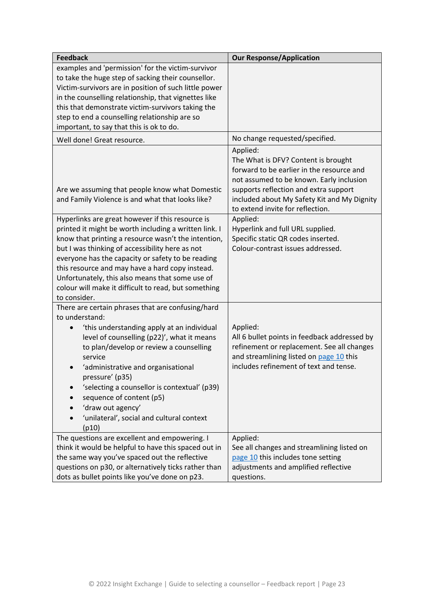| <b>Feedback</b>                                                                                                                                                                      | <b>Our Response/Application</b>                                                                                                                                                                                                  |
|--------------------------------------------------------------------------------------------------------------------------------------------------------------------------------------|----------------------------------------------------------------------------------------------------------------------------------------------------------------------------------------------------------------------------------|
| examples and 'permission' for the victim-survivor<br>to take the huge step of sacking their counsellor.                                                                              |                                                                                                                                                                                                                                  |
| Victim-survivors are in position of such little power                                                                                                                                |                                                                                                                                                                                                                                  |
| in the counselling relationship, that vignettes like                                                                                                                                 |                                                                                                                                                                                                                                  |
| this that demonstrate victim-survivors taking the                                                                                                                                    |                                                                                                                                                                                                                                  |
| step to end a counselling relationship are so                                                                                                                                        |                                                                                                                                                                                                                                  |
| important, to say that this is ok to do.                                                                                                                                             |                                                                                                                                                                                                                                  |
| Well done! Great resource.                                                                                                                                                           | No change requested/specified.                                                                                                                                                                                                   |
| Are we assuming that people know what Domestic<br>and Family Violence is and what that looks like?                                                                                   | Applied:<br>The What is DFV? Content is brought<br>forward to be earlier in the resource and<br>not assumed to be known. Early inclusion<br>supports reflection and extra support<br>included about My Safety Kit and My Dignity |
|                                                                                                                                                                                      | to extend invite for reflection.                                                                                                                                                                                                 |
| Hyperlinks are great however if this resource is<br>printed it might be worth including a written link. I                                                                            | Applied:<br>Hyperlink and full URL supplied.                                                                                                                                                                                     |
| know that printing a resource wasn't the intention,                                                                                                                                  | Specific static QR codes inserted.                                                                                                                                                                                               |
| but I was thinking of accessibility here as not                                                                                                                                      | Colour-contrast issues addressed.                                                                                                                                                                                                |
| everyone has the capacity or safety to be reading                                                                                                                                    |                                                                                                                                                                                                                                  |
| this resource and may have a hard copy instead.                                                                                                                                      |                                                                                                                                                                                                                                  |
| Unfortunately, this also means that some use of<br>colour will make it difficult to read, but something                                                                              |                                                                                                                                                                                                                                  |
| to consider.                                                                                                                                                                         |                                                                                                                                                                                                                                  |
| There are certain phrases that are confusing/hard                                                                                                                                    |                                                                                                                                                                                                                                  |
| to understand:                                                                                                                                                                       |                                                                                                                                                                                                                                  |
| 'this understanding apply at an individual<br>level of counselling (p22)', what it means<br>to plan/develop or review a counselling<br>service<br>'administrative and organisational | Applied:<br>All 6 bullet points in feedback addressed by<br>refinement or replacement. See all changes<br>and streamlining listed on page 10 this<br>includes refinement of text and tense.                                      |
| pressure' (p35)<br>'selecting a counsellor is contextual' (p39)<br>sequence of content (p5)                                                                                          |                                                                                                                                                                                                                                  |
| 'draw out agency'                                                                                                                                                                    |                                                                                                                                                                                                                                  |
| 'unilateral', social and cultural context<br>(p10)                                                                                                                                   |                                                                                                                                                                                                                                  |
| The questions are excellent and empowering. I                                                                                                                                        | Applied:                                                                                                                                                                                                                         |
| think it would be helpful to have this spaced out in                                                                                                                                 | See all changes and streamlining listed on                                                                                                                                                                                       |
| the same way you've spaced out the reflective                                                                                                                                        | page 10 this includes tone setting                                                                                                                                                                                               |
| questions on p30, or alternatively ticks rather than                                                                                                                                 | adjustments and amplified reflective                                                                                                                                                                                             |
| dots as bullet points like you've done on p23.                                                                                                                                       | questions.                                                                                                                                                                                                                       |